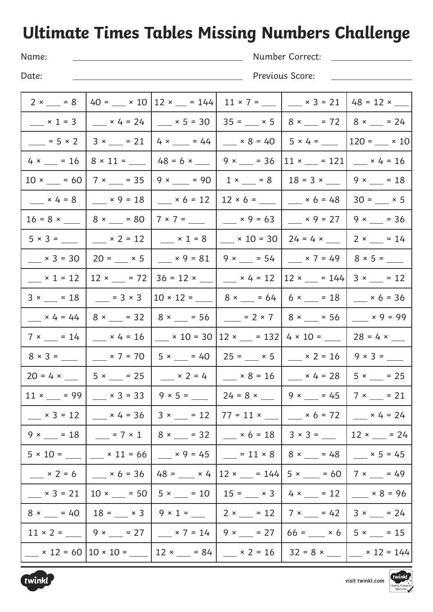## **Ultimate Times Tables Missing Numbers Challenge**

Name:

Number Correct:

Date:

Previous Score:

| $2 \times \_ = 8$                         |                                                                                   |                                                                                                          | $ 40 =$ $\_\_$ x 10   12 x $\_\_$ = 144   11 x 7 = $\_\_$   $\_\_$ x 3 = 21   48 = 12 x $\_\_$                          |                                                                           |                                                                                                                                                                       |
|-------------------------------------------|-----------------------------------------------------------------------------------|----------------------------------------------------------------------------------------------------------|-------------------------------------------------------------------------------------------------------------------------|---------------------------------------------------------------------------|-----------------------------------------------------------------------------------------------------------------------------------------------------------------------|
|                                           |                                                                                   | $\frac{1}{2}$ x 1 = 3 $\frac{1}{2}$ x 4 = 24 $\frac{1}{2}$ x 5 = 30 $\frac{1}{2}$ 35 = $\frac{1}{2}$ x 5 |                                                                                                                         |                                                                           | $8 \times 2 = 72$   $8 \times 2 = 24$                                                                                                                                 |
| $= 5 × 2$                                 | $3 \times \_ = 21$                                                                |                                                                                                          | $4 \times \_ = 44$   $\times 8 = 40$                                                                                    |                                                                           | $ 120 =$ $\times 10 $                                                                                                                                                 |
| $4 \times \_ = 16$                        |                                                                                   | $8 \times 11 =$ $\frac{1}{2}$ 48 = 6 $\times$ $\frac{1}{2}$ 9 $\times$ $\frac{1}{2}$ = 36                |                                                                                                                         | $11 \times \_ = 121$                                                      | $\frac{\text{1}}{2} \times 4 = 16$                                                                                                                                    |
| $10 \times \_ = 60$                       |                                                                                   | $7 \times \_ = 35 \mid 9 \times \_ = 90 \mid 1 \times \_ = 8$                                            |                                                                                                                         | $18 = 3 \times \_$   9 $\times \_$ = 18                                   |                                                                                                                                                                       |
| $\frac{\ }{2} \times 4 = 8$               | $\frac{\ }{2} \times 9 = 18$                                                      | $\frac{\ }{2}$ × 6 = 12                                                                                  |                                                                                                                         | $12 \times 6 =$ _______   ____ $\times 6 = 48$                            | $30 =$ $\_\ x \, 5$                                                                                                                                                   |
|                                           | $16 = 8 \times \_ \_ \  \, 8 \times \_ = 80$                                      |                                                                                                          | $7 \times 7 =$ $\_\_\_\_\_\_\$ $\_\_\_$ $\times$ 9 = 63 $\ $                                                            | $-$ × 9 = 27                                                              | $9 \times \_ = 36$                                                                                                                                                    |
|                                           | $5 \times 3 =$ $\_\_\_\_\_\$ $\_\_\_$ $\times$ 2 = 12 $\_\_\_\_\_$ $\times$ 1 = 8 |                                                                                                          |                                                                                                                         | $\frac{1}{2}$ x 10 = 30   24 = 4 x $\frac{1}{2}$   2 x $\frac{1}{2}$ = 14 |                                                                                                                                                                       |
| $\frac{\ }{2} \times 3 = 30$              | $20 =$ $\_\ x 5$                                                                  | $ \times$ 9 = 81                                                                                         | $9 \times \_ = 54$                                                                                                      | $\frac{\ }{2}$ × 7 = 49                                                   | $8 \times 5 =$                                                                                                                                                        |
| $\frac{\ }{2} \times 1 = 12$              | $12 \times 2 = 72$                                                                |                                                                                                          | $36 = 12 \times$ ______________ $\times$ 4 = 12                                                                         | $12 \times 1 = 144$                                                       | $3 \times \_ = 12$                                                                                                                                                    |
| $3 \times \_ = 18$                        |                                                                                   |                                                                                                          | $\frac{1}{2}$ = 3 × 3   10 × 12 = $\frac{1}{2}$   8 × $\frac{1}{2}$ = 64   6 × $\frac{1}{2}$ = 18                       |                                                                           | $\frac{\ }{2}$ × 6 = 36                                                                                                                                               |
| $x 4 = 44$                                |                                                                                   |                                                                                                          | $8 \times 2 = 32$   $8 \times 2 = 56$   $2 \times 7$   $8 \times 2 = 56$                                                |                                                                           | $\frac{1}{2} \times 9 = 99$                                                                                                                                           |
| $7 \times \_ = 14$                        |                                                                                   |                                                                                                          | $\frac{\phantom{2}}{2}$ × 4 = 16 $\phantom{2}$ $\phantom{2}$ × 10 = 30   12 × $\phantom{2}$ = 132                       | $4 \times 10 =$ 28 = 4 $\times$ _____                                     |                                                                                                                                                                       |
|                                           |                                                                                   |                                                                                                          | $8 \times 3 =$ _______   _____ $\times 7 = 70$   $5 \times$ ____ = 40   25 = ____ $\times 5$   ____ $\times 2 = 16$     |                                                                           | $9 \times 3 =$                                                                                                                                                        |
|                                           | $20 = 4 \times 10 = 5 \times 10 = 25$                                             |                                                                                                          | $\frac{\phantom{0}}{2}$ × 2 = 4 $\phantom{0}$ $\phantom{0}$ × 8 = 16 $\phantom{0}$ $\phantom{0}$ × 4 = 28 $\phantom{0}$ |                                                                           | $5 \times \_ = 25$                                                                                                                                                    |
| $11 \times 2 = 99$                        |                                                                                   |                                                                                                          | $x = 3$ = 33   9 x 5 = $\frac{1}{24}$ = 8 x $\frac{1}{24}$ = 9 x $\frac{1}{24}$ = 45                                    |                                                                           | $7 \times \_ = 21$                                                                                                                                                    |
| $\frac{\ }{2} \times 3 = 12$              |                                                                                   |                                                                                                          | __ x 4 = 36   3 x __ = 12   77 = 11 x __   __ x 6 = 72   __ x 4 = 24                                                    |                                                                           |                                                                                                                                                                       |
|                                           |                                                                                   |                                                                                                          |                                                                                                                         |                                                                           | 9 × __ = 18   __ = 7 × 1   8 × __ = 32   __ × 6 = 18   3 × 3 = __   12 × __ = 24                                                                                      |
|                                           |                                                                                   |                                                                                                          |                                                                                                                         |                                                                           | $5 \times 10 =$ $\_\_\_\_$ $\times$ 11 = 66 $\_\_\_$ $\times$ 9 = 45 $\_\_\_\_$ = 11 $\times$ 8 $\_\_$ 8 $\times$ $\_\_$ = 48 $\_\_\_\_$ $\times$ 5 = 45 $\_\_\_\_\_$ |
|                                           |                                                                                   |                                                                                                          | ___ × 2 = 6   ___ × 6 = 36   48 = ___ × 4   12 × ___ = 144  5 × ___ = 60   7 × ___ = 49                                 |                                                                           |                                                                                                                                                                       |
| $\frac{\text{1}}{\text{1}} \times 3 = 21$ |                                                                                   |                                                                                                          |                                                                                                                         |                                                                           | $10 \times $ = 50   5 $\times$ = 10   15 = $\times$ 3   4 $\times$ = 12   $\times$ 8 = 96                                                                             |
|                                           |                                                                                   |                                                                                                          |                                                                                                                         |                                                                           | $8 \times \_\_$ = 40   18 = $\_\_$ x 3   9 x 1 = $\_\_$   2 x $\_\_$ = 12   7 x $\_\_$ = 42   3 x $\_\_$ = 24                                                         |
|                                           |                                                                                   |                                                                                                          |                                                                                                                         |                                                                           |                                                                                                                                                                       |
|                                           |                                                                                   |                                                                                                          |                                                                                                                         |                                                                           | __ × 12 = 60   10 × 10 = __   12 × __ = 84   __ × 2 = 16   32 = 8 × __  __ × 12 = 144                                                                                 |